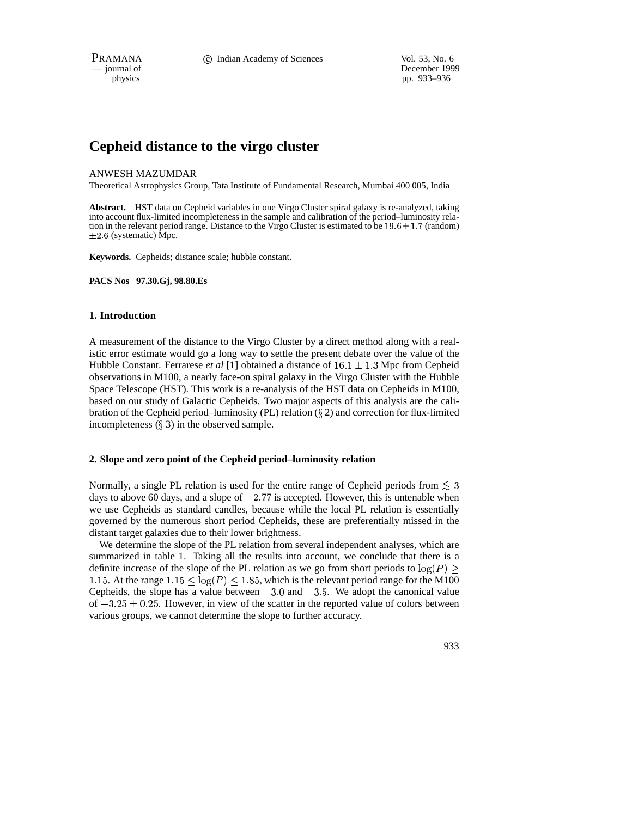PRAMANA **C** Indian Academy of Sciences Vol. 53, No. 6

— journal of December 1999 physics pp. 933–936

# **Cepheid distance to the virgo cluster**

## ANWESH MAZUMDAR

Theoretical Astrophysics Group, Tata Institute of Fundamental Research, Mumbai 400 005, India

**Abstract.** HST data on Cepheid variables in one Virgo Cluster spiral galaxy is re-analyzed, taking into account flux-limited incompleteness in the sample and calibration of the period–luminosity relation in the relevant period range. Distance to the Virgo Cluster is estimated to be  $19.6 \pm 1.7$  (random)  $\pm 2.6$  (systematic) Mpc.

**Keywords.** Cepheids; distance scale; hubble constant.

**PACS Nos 97.30.Gj, 98.80.Es**

## **1. Introduction**

A measurement of the distance to the Virgo Cluster by a direct method along with a realistic error estimate would go a long way to settle the present debate over the value of the Hubble Constant. Ferrarese *et al* [1] obtained a distance of  $16.1 \pm 1.3$  Mpc from Cepheid observations in M100, a nearly face-on spiral galaxy in the Virgo Cluster with the Hubble Space Telescope (HST). This work is a re-analysis of the HST data on Cepheids in M100, based on our study of Galactic Cepheids. Two major aspects of this analysis are the calibration of the Cepheid period–luminosity (PL) relation ( $\S$  2) and correction for flux-limited incompleteness  $(\S 3)$  in the observed sample.

# **2. Slope and zero point of the Cepheid period–luminosity relation**

Normally, a single PL relation is used for the entire range of Cepheid periods from  $\leq 3$ days to above 60 days, and a slope of  $-2.77$  is accepted. However, this is untenable when we use Cepheids as standard candles, because while the local PL relation is essentially governed by the numerous short period Cepheids, these are preferentially missed in the distant target galaxies due to their lower brightness.

We determine the slope of the PL relation from several independent analyses, which are summarized in table 1. Taking all the results into account, we conclude that there is a definite increase of the slope of the PL relation as we go from short periods to  $log(P)$ 1.15. At the range  $1.15 \le \log(P) \le 1.85$ , which is the relevant period range for the M100 Cepheids, the slope has a value between  $-3.0$  and  $-3.5$ . We adopt the canonical value of  $-3.25 \pm 0.25$ . However, in view of the scatter in the reported value of colors between various groups, we cannot determine the slope to further accuracy.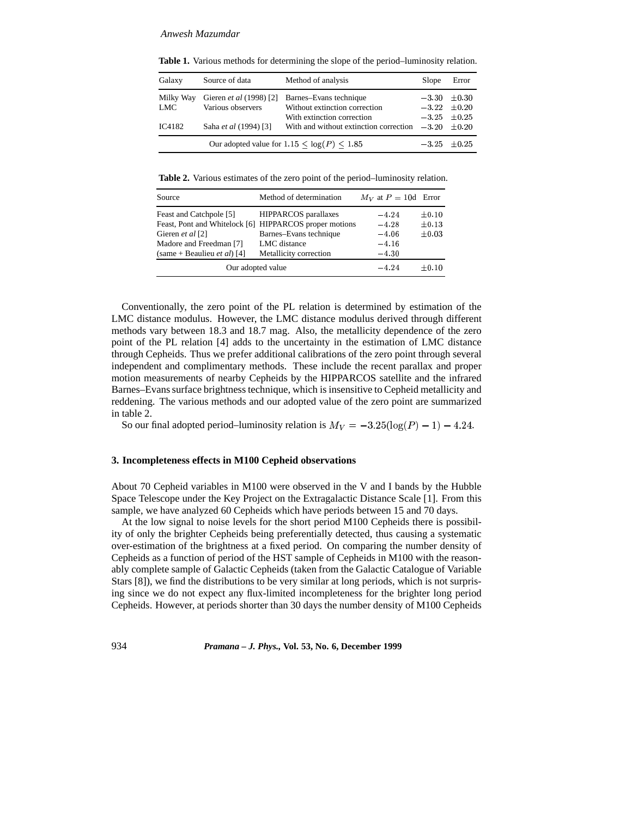#### *Anwesh Mazumdar*

| Galaxy                                       | Source of data          | Method of analysis                     | Slope            | Error            |
|----------------------------------------------|-------------------------|----------------------------------------|------------------|------------------|
| Milky Way                                    | Gieren et al (1998) [2] | Barnes-Evans technique                 |                  | $-3.30 \pm 0.30$ |
| LMC                                          | Various observers       | Without extinction correction          |                  | $-3.22 \pm 0.20$ |
|                                              |                         | With extinction correction             |                  | $-3.25 \pm 0.25$ |
| IC4182                                       | Saha et al (1994) [3]   | With and without extinction correction | $-3.20 \pm 0.20$ |                  |
| Our adopted value for $1.15 < log(P) < 1.85$ |                         |                                        |                  | $-3.25 \pm 0.25$ |

**Table 1.** Various methods for determining the slope of the period–luminosity relation.

**Table 2.** Various estimates of the zero point of the period–luminosity relation.

| Source                                                 | Method of determination     | $M_V$ at $P = 10d$ Error |            |
|--------------------------------------------------------|-----------------------------|--------------------------|------------|
| Feast and Catchpole [5]                                | <b>HIPPARCOS</b> parallaxes | $-4.24$                  | $\pm 0.10$ |
| Feast, Pont and Whitelock [6] HIPPARCOS proper motions |                             | $-4.28$                  | $\pm 0.13$ |
| Gieren et al [2]                                       | Barnes-Evans technique      | $-4.06$                  | $\pm 0.03$ |
| Madore and Freedman [7]                                | LMC distance                | $-4.16$                  |            |
| (same + Beaulieu <i>et al</i> ) [4]                    | Metallicity correction      | $-4.30$                  |            |
| Our adopted value                                      | $-4.24$                     | $\pm 0.10$               |            |

Conventionally, the zero point of the PL relation is determined by estimation of the LMC distance modulus. However, the LMC distance modulus derived through different methods vary between 18.3 and 18.7 mag. Also, the metallicity dependence of the zero point of the PL relation [4] adds to the uncertainty in the estimation of LMC distance through Cepheids. Thus we prefer additional calibrations of the zero point through several independent and complimentary methods. These include the recent parallax and proper motion measurements of nearby Cepheids by the HIPPARCOS satellite and the infrared Barnes–Evanssurface brightness technique, which is insensitive to Cepheid metallicity and reddening. The various methods and our adopted value of the zero point are summarized in table 2.

So our final adopted period–luminosity relation is  $M_V = -3.25(\log(P) - 1) - 4.24$ .

#### **3. Incompleteness effects in M100 Cepheid observations**

About 70 Cepheid variables in M100 were observed in the V and I bands by the Hubble Space Telescope under the Key Project on the Extragalactic Distance Scale [1]. From this sample, we have analyzed 60 Cepheids which have periods between 15 and 70 days.

At the low signal to noise levels for the short period M100 Cepheids there is possibility of only the brighter Cepheids being preferentially detected, thus causing a systematic over-estimation of the brightness at a fixed period. On comparing the number density of Cepheids as a function of period of the HST sample of Cepheids in M100 with the reasonably complete sample of Galactic Cepheids (taken from the Galactic Catalogue of Variable Stars [8]), we find the distributions to be very similar at long periods, which is not surprising since we do not expect any flux-limited incompleteness for the brighter long period Cepheids. However, at periods shorter than 30 days the number density of M100 Cepheids

934 *Pramana – J. Phys.,* **Vol. 53, No. 6, December 1999**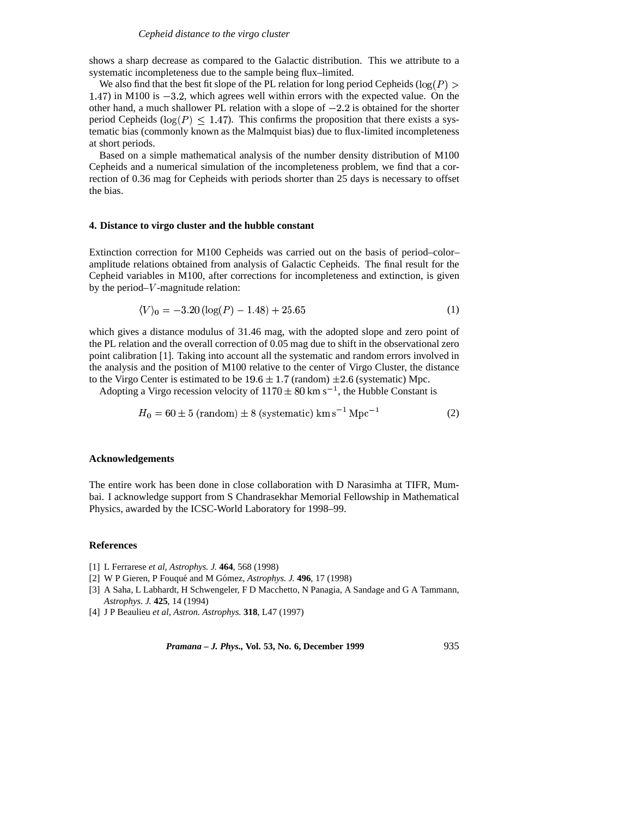shows a sharp decrease as compared to the Galactic distribution. This we attribute to a systematic incompleteness due to the sample being flux–limited.

We also find that the best fit slope of the PL relation for long period Cepheids ( $log(P)$ )  $(1.47)$  in M100 is  $-3.2$ , which agrees well within errors with the expected value. On the other hand, a much shallower PL relation with a slope of  $-2.2$  is obtained for the shorter period Cepheids ( $log(P) \le 1.47$ ). This confirms the proposition that there exists a systematic bias (commonly known as the Malmquist bias) due to flux-limited incompleteness at short periods.

Based on a simple mathematical analysis of the number density distribution of M100 Cepheids and a numerical simulation of the incompleteness problem, we find that a correction of 0.36 mag for Cepheids with periods shorter than 25 days is necessary to offset the bias.

#### **4. Distance to virgo cluster and the hubble constant**

Extinction correction for M100 Cepheids was carried out on the basis of period–color– amplitude relations obtained from analysis of Galactic Cepheids. The final result for the Cepheid variables in M100, after corrections for incompleteness and extinction, is given by the period– $V$ -magnitude relation:

$$
\langle V \rangle_0 = -3.20 \left( \log(P) - 1.48 \right) + 25.65 \tag{1}
$$

which gives a distance modulus of 31.46 mag, with the adopted slope and zero point of the PL relation and the overall correction of 0.05 mag due to shift in the observational zero point calibration [1]. Taking into account all the systematic and random errors involved in the analysis and the position of M100 relative to the center of Virgo Cluster, the distance to the Virgo Center is estimated to be  $19.6 \pm 1.7$  (random)  $\pm 2.6$  (systematic) Mpc.

Adopting a Virgo recession velocity of  $1170 \pm 80$  km s<sup>-1</sup>, the Hubble Constant is

$$
H_0 = 60 \pm 5 \text{ (random)} \pm 8 \text{ (systematic)} \text{ km s}^{-1} \text{ Mpc}^{-1}
$$
 (2)

#### **Acknowledgements**

The entire work has been done in close collaboration with D Narasimha at TIFR, Mumbai. I acknowledge support from S Chandrasekhar Memorial Fellowship in Mathematical Physics, awarded by the ICSC-World Laboratory for 1998–99.

#### **References**

- [1] L Ferrarese *et al*, *Astrophys. J.* **464**, 568 (1998)
- [2] W P Gieren, P Fouque´ and M Gomez, ´ *Astrophys. J.* **496**, 17 (1998)
- [3] A Saha, L Labhardt, H Schwengeler, F D Macchetto, N Panagia, A Sandage and G A Tammann, *Astrophys. J.* **425**, 14 (1994)
- [4] J P Beaulieu *et al*, *Astron. Astrophys.* **318**, L47 (1997)